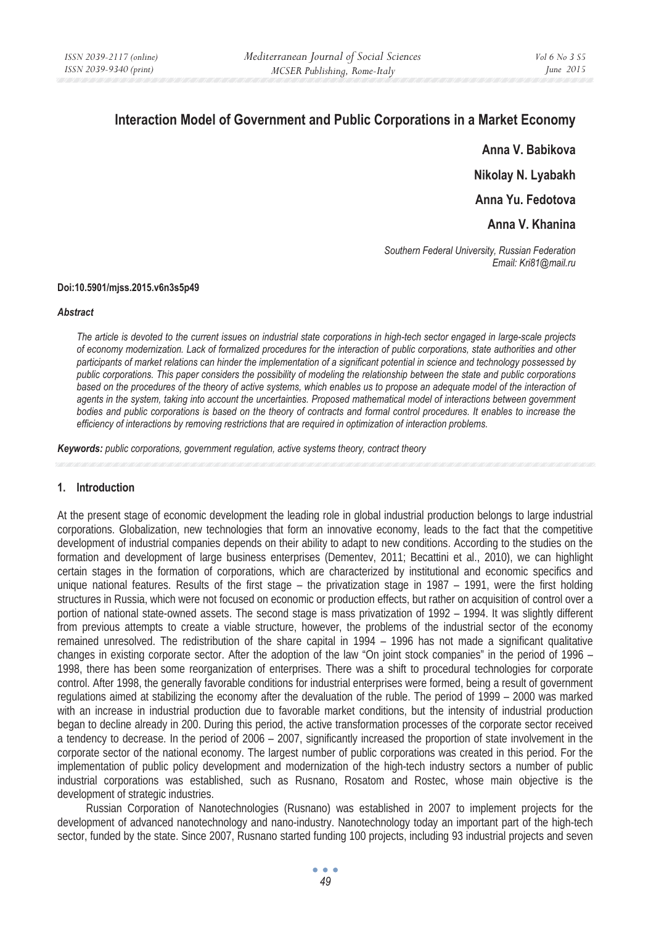# **Interaction Model of Government and Public Corporations in a Market Economy**

**Anna V. Babikova Nikolay N. Lyabakh Anna Yu. Fedotova** 

**Anna V. Khanina** 

*Southern Federal University, Russian Federation Email: Kri81@mail.ru* 

### **Doi:10.5901/mjss.2015.v6n3s5p49**

#### *Abstract*

*The article is devoted to the current issues on industrial state corporations in high-tech sector engaged in large-scale projects of economy modernization. Lack of formalized procedures for the interaction of public corporations, state authorities and other participants of market relations can hinder the implementation of a significant potential in science and technology possessed by public corporations. This paper considers the possibility of modeling the relationship between the state and public corporations based on the procedures of the theory of active systems, which enables us to propose an adequate model of the interaction of agents in the system, taking into account the uncertainties. Proposed mathematical model of interactions between government bodies and public corporations is based on the theory of contracts and formal control procedures. It enables to increase the efficiency of interactions by removing restrictions that are required in optimization of interaction problems.* 

*Keywords: public corporations, government regulation, active systems theory, contract theory* 

# **1. Introduction**

At the present stage of economic development the leading role in global industrial production belongs to large industrial corporations. Globalization, new technologies that form an innovative economy, leads to the fact that the competitive development of industrial companies depends on their ability to adapt to new conditions. According to the studies on the formation and development of large business enterprises (Dementev, 2011; Becattini et al., 2010), we can highlight certain stages in the formation of corporations, which are characterized by institutional and economic specifics and unique national features. Results of the first stage – the privatization stage in 1987 – 1991, were the first holding structures in Russia, which were not focused on economic or production effects, but rather on acquisition of control over a portion of national state-owned assets. The second stage is mass privatization of 1992 – 1994. It was slightly different from previous attempts to create a viable structure, however, the problems of the industrial sector of the economy remained unresolved. The redistribution of the share capital in 1994 – 1996 has not made a significant qualitative changes in existing corporate sector. After the adoption of the law "On joint stock companies" in the period of 1996 – 1998, there has been some reorganization of enterprises. There was a shift to procedural technologies for corporate control. After 1998, the generally favorable conditions for industrial enterprises were formed, being a result of government regulations aimed at stabilizing the economy after the devaluation of the ruble. The period of 1999 – 2000 was marked with an increase in industrial production due to favorable market conditions, but the intensity of industrial production began to decline already in 200. During this period, the active transformation processes of the corporate sector received a tendency to decrease. In the period of 2006 – 2007, significantly increased the proportion of state involvement in the corporate sector of the national economy. The largest number of public corporations was created in this period. For the implementation of public policy development and modernization of the high-tech industry sectors a number of public industrial corporations was established, such as Rusnano, Rosatom and Rostec, whose main objective is the development of strategic industries.

Russian Corporation of Nanotechnologies (Rusnano) was established in 2007 to implement projects for the development of advanced nanotechnology and nano-industry. Nanotechnology today an important part of the high-tech sector, funded by the state. Since 2007, Rusnano started funding 100 projects, including 93 industrial projects and seven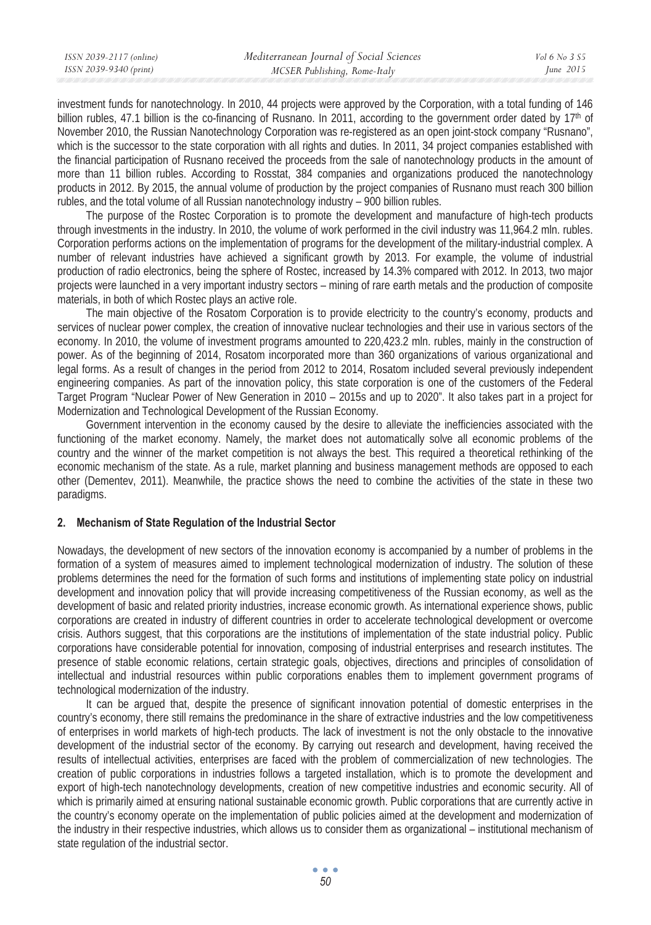| ISSN 2039-2117 (online) | Mediterranean Journal of Social Sciences | Vol 6 No 3 S5 |
|-------------------------|------------------------------------------|---------------|
| ISSN 2039-9340 (print)  | MCSER Publishing, Rome-Italy             | June $2015$   |
|                         |                                          |               |

investment funds for nanotechnology. In 2010, 44 projects were approved by the Corporation, with a total funding of 146 billion rubles, 47.1 billion is the co-financing of Rusnano. In 2011, according to the government order dated by  $17<sup>th</sup>$  of November 2010, the Russian Nanotechnology Corporation was re-registered as an open joint-stock company "Rusnano", which is the successor to the state corporation with all rights and duties. In 2011, 34 project companies established with the financial participation of Rusnano received the proceeds from the sale of nanotechnology products in the amount of more than 11 billion rubles. According to Rosstat, 384 companies and organizations produced the nanotechnology products in 2012. By 2015, the annual volume of production by the project companies of Rusnano must reach 300 billion rubles, and the total volume of all Russian nanotechnology industry – 900 billion rubles.

The purpose of the Rostec Corporation is to promote the development and manufacture of high-tech products through investments in the industry. In 2010, the volume of work performed in the civil industry was 11,964.2 mln. rubles. Corporation performs actions on the implementation of programs for the development of the military-industrial complex. A number of relevant industries have achieved a significant growth by 2013. For example, the volume of industrial production of radio electronics, being the sphere of Rostec, increased by 14.3% compared with 2012. In 2013, two major projects were launched in a very important industry sectors – mining of rare earth metals and the production of composite materials, in both of which Rostec plays an active role.

The main objective of the Rosatom Corporation is to provide electricity to the country's economy, products and services of nuclear power complex, the creation of innovative nuclear technologies and their use in various sectors of the economy. In 2010, the volume of investment programs amounted to 220,423.2 mln. rubles, mainly in the construction of power. As of the beginning of 2014, Rosatom incorporated more than 360 organizations of various organizational and legal forms. As a result of changes in the period from 2012 to 2014, Rosatom included several previously independent engineering companies. As part of the innovation policy, this state corporation is one of the customers of the Federal Target Program "Nuclear Power of New Generation in 2010 – 2015s and up to 2020". It also takes part in a project for Modernization and Technological Development of the Russian Economy.

Government intervention in the economy caused by the desire to alleviate the inefficiencies associated with the functioning of the market economy. Namely, the market does not automatically solve all economic problems of the country and the winner of the market competition is not always the best. This required a theoretical rethinking of the economic mechanism of the state. As a rule, market planning and business management methods are opposed to each other (Dementev, 2011). Meanwhile, the practice shows the need to combine the activities of the state in these two paradigms.

# **2. Mechanism of State Regulation of the Industrial Sector**

Nowadays, the development of new sectors of the innovation economy is accompanied by a number of problems in the formation of a system of measures aimed to implement technological modernization of industry. The solution of these problems determines the need for the formation of such forms and institutions of implementing state policy on industrial development and innovation policy that will provide increasing competitiveness of the Russian economy, as well as the development of basic and related priority industries, increase economic growth. As international experience shows, public corporations are created in industry of different countries in order to accelerate technological development or overcome crisis. Authors suggest, that this corporations are the institutions of implementation of the state industrial policy. Public corporations have considerable potential for innovation, composing of industrial enterprises and research institutes. The presence of stable economic relations, certain strategic goals, objectives, directions and principles of consolidation of intellectual and industrial resources within public corporations enables them to implement government programs of technological modernization of the industry.

It can be argued that, despite the presence of significant innovation potential of domestic enterprises in the country's economy, there still remains the predominance in the share of extractive industries and the low competitiveness of enterprises in world markets of high-tech products. The lack of investment is not the only obstacle to the innovative development of the industrial sector of the economy. By carrying out research and development, having received the results of intellectual activities, enterprises are faced with the problem of commercialization of new technologies. The creation of public corporations in industries follows a targeted installation, which is to promote the development and export of high-tech nanotechnology developments, creation of new competitive industries and economic security. All of which is primarily aimed at ensuring national sustainable economic growth. Public corporations that are currently active in the country's economy operate on the implementation of public policies aimed at the development and modernization of the industry in their respective industries, which allows us to consider them as organizational – institutional mechanism of state regulation of the industrial sector.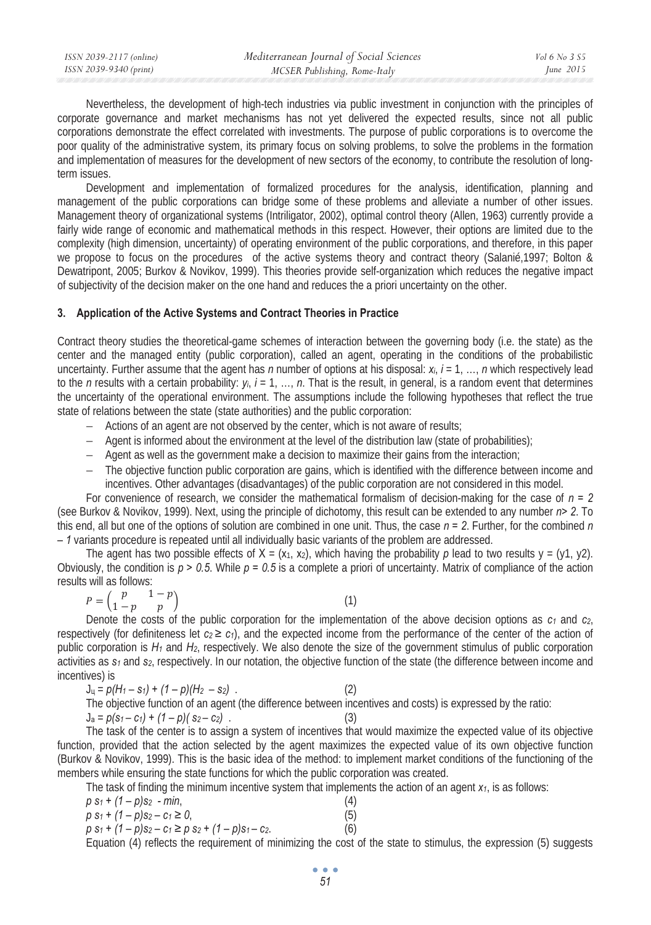| ISSN 2039-2117 (online) | Mediterranean Journal of Social Sciences | Vol 6 No 3 S5 |
|-------------------------|------------------------------------------|---------------|
| ISSN 2039-9340 (print)  | MCSER Publishing, Rome-Italy             | June $2015$   |
|                         |                                          |               |

Nevertheless, the development of high-tech industries via public investment in conjunction with the principles of corporate governance and market mechanisms has not yet delivered the expected results, since not all public corporations demonstrate the effect correlated with investments. The purpose of public corporations is to overcome the poor quality of the administrative system, its primary focus on solving problems, to solve the problems in the formation and implementation of measures for the development of new sectors of the economy, to contribute the resolution of longterm issues.

Development and implementation of formalized procedures for the analysis, identification, planning and management of the public corporations can bridge some of these problems and alleviate a number of other issues. Management theory of organizational systems (Intriligator, 2002), optimal control theory (Allen, 1963) currently provide a fairly wide range of economic and mathematical methods in this respect. However, their options are limited due to the complexity (high dimension, uncertainty) of operating environment of the public corporations, and therefore, in this paper we propose to focus on the procedures of the active systems theory and contract theory (Salanié,1997; Bolton & Dewatripont, 2005; Burkov & Novikov, 1999). This theories provide self-organization which reduces the negative impact of subjectivity of the decision maker on the one hand and reduces the a priori uncertainty on the other.

### **3. Application of the Active Systems and Contract Theories in Practice**

Contract theory studies the theoretical-game schemes of interaction between the governing body (i.e. the state) as the center and the managed entity (public corporation), called an agent, operating in the conditions of the probabilistic uncertainty. Further assume that the agent has *n* number of options at his disposal: *ɯi*, *i* = 1, …, *n* which respectively lead to the *n* results with a certain probability:  $y_i$ ,  $i = 1, ..., n$ . That is the result, in general, is a random event that determines the uncertainty of the operational environment. The assumptions include the following hypotheses that reflect the true state of relations between the state (state authorities) and the public corporation:

- − Actions of an agent are not observed by the center, which is not aware of results;
- − Agent is informed about the environment at the level of the distribution law (state of probabilities);
- − Agent as well as the government make a decision to maximize their gains from the interaction;
- − The objective function public corporation are gains, which is identified with the difference between income and incentives. Other advantages (disadvantages) of the public corporation are not considered in this model.

For convenience of research, we consider the mathematical formalism of decision-making for the case of *n = 2* (see Burkov & Novikov, 1999). Next, using the principle of dichotomy, this result can be extended to any number *n> 2*. To this end, all but one of the options of solution are combined in one unit. Thus, the case *n = 2*. Further, for the combined *n – 1* variants procedure is repeated until all individually basic variants of the problem are addressed.

The agent has two possible effects of  $X = (x_1, x_2)$ , which having the probability p lead to two results  $y = (y_1, y_2)$ . Obviously, the condition is *p > 0.5*. While *p = 0.5* is a complete a priori of uncertainty. Matrix of compliance of the action results will as follows:

$$
P = \begin{pmatrix} p & 1-p \\ 1-p & p \end{pmatrix} \tag{1}
$$

Denote the costs of the public corporation for the implementation of the above decision options as  $c_1$  and  $c_2$ , respectively (for definiteness let  $c_2 \geq c_1$ ), and the expected income from the performance of the center of the action of public corporation is  $H_1$  and  $H_2$ , respectively. We also denote the size of the government stimulus of public corporation activities as *s1* and *s2*, respectively. In our notation, the objective function of the state (the difference between income and incentives) is

$$
J_u = p(H_1 - s_1) + (1 - p)(H_2 - s_2)
$$
\nThe objective function of an agent (the difference between incentives and costs) is expressed by the ratio:  
\n
$$
J_a = p(s_1 - c_1) + (1 - p)(s_2 - c_2)
$$
\n(3)

The task of the center is to assign a system of incentives that would maximize the expected value of its objective function, provided that the action selected by the agent maximizes the expected value of its own objective function (Burkov & Novikov, 1999). This is the basic idea of the method: to implement market conditions of the functioning of the members while ensuring the state functions for which the public corporation was created.

The task of finding the minimum incentive system that implements the action of an agent  $x_1$ , is as follows:

| $p s_1 + (1-p)s_2 - min,$                                 | (4) |
|-----------------------------------------------------------|-----|
| $p s_1 + (1-p)s_2 - c_1 \ge 0$ ,                          | (5) |
| $p s_1 + (1 - p)s_2 - c_1 \ge p s_2 + (1 - p)s_1 - c_2$ . | (6) |

Equation (4) reflects the requirement of minimizing the cost of the state to stimulus, the expression (5) suggests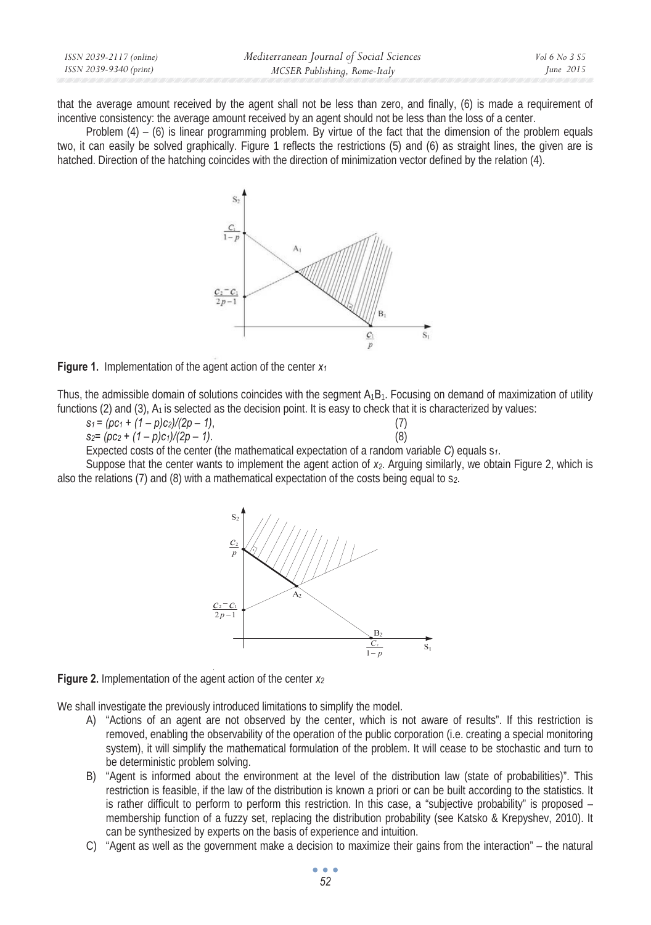| ISSN 2039-2117 (online) | Mediterranean Journal of Social Sciences | Vol 6 No 3 S5 |
|-------------------------|------------------------------------------|---------------|
| ISSN 2039-9340 (print)  | MCSER Publishing, Rome-Italy             | June 2015     |
|                         |                                          |               |

that the average amount received by the agent shall not be less than zero, and finally, (6) is made a requirement of incentive consistency: the average amount received by an agent should not be less than the loss of a center.

Problem (4) – (6) is linear programming problem. By virtue of the fact that the dimension of the problem equals two, it can easily be solved graphically. Figure 1 reflects the restrictions (5) and (6) as straight lines, the given are is hatched. Direction of the hatching coincides with the direction of minimization vector defined by the relation (4).



**Figure 1.** Implementation of the agent action of the center  $x_1$ 

Thus, the admissible domain of solutions coincides with the segment  $A_1B_1$ . Focusing on demand of maximization of utility functions  $(2)$  and  $(3)$ ,  $A_1$  is selected as the decision point. It is easy to check that it is characterized by values:

| $s_1 = (pc_1 + (1-p)c_2)/(2p-1)$ ,     |     |
|----------------------------------------|-----|
| $S_2 = (p c_2 + (1-p) c_1)/(2p - 1)$ . | (8) |

Expected costs of the center (the mathematical expectation of a random variable *C*) equals s*1*.

Suppose that the center wants to implement the agent action of x<sub>2</sub>. Arguing similarly, we obtain Figure 2, which is also the relations (7) and (8) with a mathematical expectation of the costs being equal to s*2*.



**Figure 2.** Implementation of the agent action of the center *ɯ<sup>2</sup>*

We shall investigate the previously introduced limitations to simplify the model.

- A) "Actions of an agent are not observed by the center, which is not aware of results". If this restriction is removed, enabling the observability of the operation of the public corporation (i.e. creating a special monitoring system), it will simplify the mathematical formulation of the problem. It will cease to be stochastic and turn to be deterministic problem solving.
- B) "Agent is informed about the environment at the level of the distribution law (state of probabilities)". This restriction is feasible, if the law of the distribution is known a priori or can be built according to the statistics. It is rather difficult to perform to perform this restriction. In this case, a "subjective probability" is proposed – membership function of a fuzzy set, replacing the distribution probability (see Katsko & Krepyshev, 2010). It can be synthesized by experts on the basis of experience and intuition.
- C) "Agent as well as the government make a decision to maximize their gains from the interaction" the natural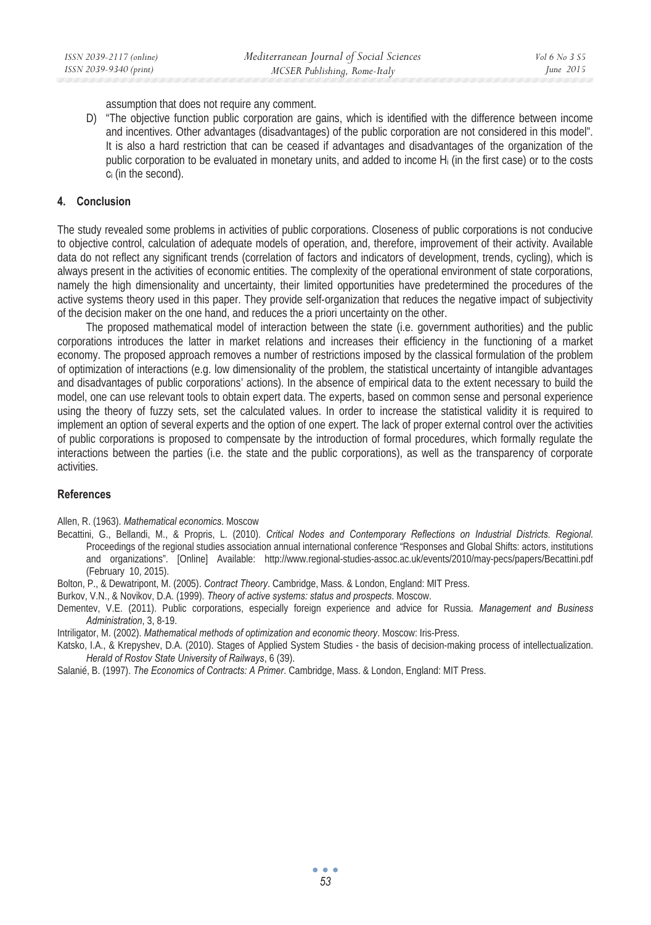assumption that does not require any comment.

D) "The objective function public corporation are gains, which is identified with the difference between income and incentives. Other advantages (disadvantages) of the public corporation are not considered in this model". It is also a hard restriction that can be ceased if advantages and disadvantages of the organization of the public corporation to be evaluated in monetary units, and added to income  $H_i$  (in the first case) or to the costs c<sub>i</sub> (in the second).

# **4. Conclusion**

The study revealed some problems in activities of public corporations. Closeness of public corporations is not conducive to objective control, calculation of adequate models of operation, and, therefore, improvement of their activity. Available data do not reflect any significant trends (correlation of factors and indicators of development, trends, cycling), which is always present in the activities of economic entities. The complexity of the operational environment of state corporations, namely the high dimensionality and uncertainty, their limited opportunities have predetermined the procedures of the active systems theory used in this paper. They provide self-organization that reduces the negative impact of subjectivity of the decision maker on the one hand, and reduces the a priori uncertainty on the other.

The proposed mathematical model of interaction between the state (i.e. government authorities) and the public corporations introduces the latter in market relations and increases their efficiency in the functioning of a market economy. The proposed approach removes a number of restrictions imposed by the classical formulation of the problem of optimization of interactions (e.g. low dimensionality of the problem, the statistical uncertainty of intangible advantages and disadvantages of public corporations' actions). In the absence of empirical data to the extent necessary to build the model, one can use relevant tools to obtain expert data. The experts, based on common sense and personal experience using the theory of fuzzy sets, set the calculated values. In order to increase the statistical validity it is required to implement an option of several experts and the option of one expert. The lack of proper external control over the activities of public corporations is proposed to compensate by the introduction of formal procedures, which formally regulate the interactions between the parties (i.e. the state and the public corporations), as well as the transparency of corporate activities.

# **References**

Allen, R. (1963). *Mathematical economics*. Moscow

Becattini, G., Bellandi, M., & Propris, L. (2010). *Critical Nodes and Contemporary Reflections on Industrial Districts. Regional*. Proceedings of the regional studies association annual international conference "Responses and Global Shifts: actors, institutions and organizations". [Online] Available: http://www.regional-studies-assoc.ac.uk/events/2010/may-pecs/papers/Becattini.pdf (February 10, 2015).

Bolton, P., & Dewatripont, M. (2005). *Contract Theory*. Cambridge, Mass. & London, England: MIT Press.

Burkov, V.N., & Novikov, D.A. (1999). *Theory of active systems: status and prospects*. Moscow.

Dementev, V.E. (2011). Public corporations, especially foreign experience and advice for Russia. *Management and Business Administration*, 3, 8-19.

Intriligator, M. (2002). *Mathematical methods of optimization and economic theory*. Moscow: Iris-Press.

Katsko, I.A., & Krepyshev, D.A. (2010). Stages of Applied System Studies - the basis of decision-making process of intellectualization. *Herald of Rostov State University of Railways*, 6 (39).

Salanié, B. (1997). *The Economics of Contracts: A Primer*. Cambridge, Mass. & London, England: MIT Press.